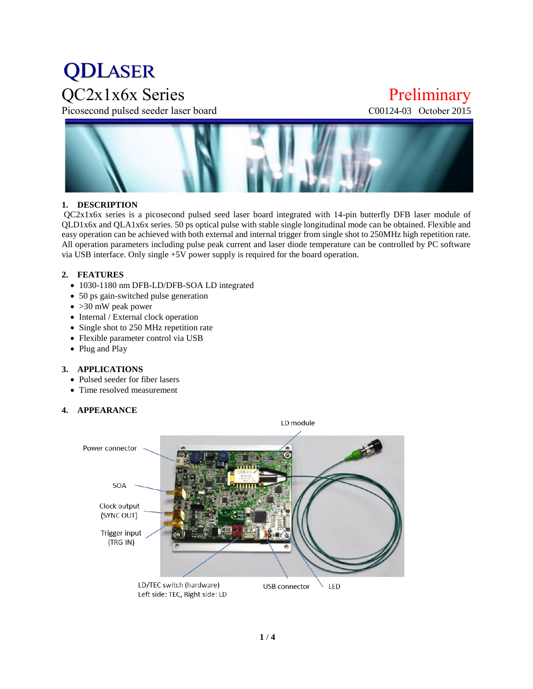# **QDLASER**

Picosecond pulsed seeder laser board C00124-03 October 2015

### QC2x1x6x Series Preliminary



#### **1. DESCRIPTION**

QC2x1x6x series is a picosecond pulsed seed laser board integrated with 14-pin butterfly DFB laser module of QLD1x6x and QLA1x6x series. 50 ps optical pulse with stable single longitudinal mode can be obtained. Flexible and easy operation can be achieved with both external and internal trigger from single shot to 250MHz high repetition rate. All operation parameters including pulse peak current and laser diode temperature can be controlled by PC software via USB interface. Only single +5V power supply is required for the board operation.

#### **2. FEATURES**

- 1030-1180 nm DFB-LD/DFB-SOA LD integrated
- 50 ps gain-switched pulse generation
- $\bullet$  >30 mW peak power
- Internal / External clock operation
- Single shot to 250 MHz repetition rate
- Flexible parameter control via USB
- Plug and Play

#### **3. APPLICATIONS**

- Pulsed seeder for fiber lasers
- Time resolved measurement

#### **4. APPEARANCE**

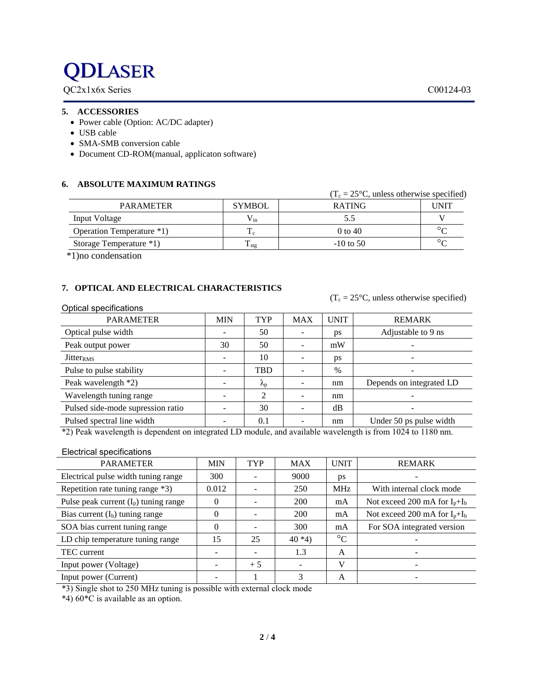### **QDLASER**

QC2x1x6x Series C00124-03

#### **5. ACCESSORIES**

- Power cable (Option: AC/DC adapter)
- USB cable
- SMA-SMB conversion cable
- Document CD-ROM(manual, applicaton software)

#### **6. ABSOLUTE MAXIMUM RATINGS**

|                           |                  | $(1_c = 25^{\circ}C,$ unless otherwise specified) |         |
|---------------------------|------------------|---------------------------------------------------|---------|
| <b>PARAMETER</b>          | <b>SYMBOL</b>    | <b>RATING</b>                                     | UNIT    |
| Input Voltage             | $V_{in}$         |                                                   |         |
| Operation Temperature *1) | $_{\rm L, C}$    | $0 \text{ to } 40$                                | $\circ$ |
| Storage Temperature *1)   | $\mathbf{I}$ stg | $-10$ to 50                                       | $\circ$ |

\*1)no condensation

### **7. OPTICAL AND ELECTRICAL CHARACTERISTICS**

 $(T_c = 25\degree C$ , unless otherwise specified)

 $(T<sub>0</sub> = 250C<sub>1</sub> = 1$  under the specified specified)

| Optical specifications            |            |                          |            |             |                          |
|-----------------------------------|------------|--------------------------|------------|-------------|--------------------------|
| <b>PARAMETER</b>                  | <b>MIN</b> | <b>TYP</b>               | <b>MAX</b> | <b>UNIT</b> | <b>REMARK</b>            |
| Optical pulse width               |            | 50                       |            | ps          | Adjustable to 9 ns       |
| Peak output power                 | 30         | 50                       |            | mW          |                          |
| Jitter <sub>RMS</sub>             |            | 10                       |            | ps          |                          |
| Pulse to pulse stability          |            | <b>TBD</b>               |            | $\%$        |                          |
| Peak wavelength *2)               |            | $\mathcal{N}_{\text{p}}$ |            | nm          | Depends on integrated LD |
| Wavelength tuning range           |            | ↑                        |            | nm          |                          |
| Pulsed side-mode supression ratio |            | 30                       |            | dB          |                          |
| Pulsed spectral line width        |            | 0.1                      |            | nm          | Under 50 ps pulse width  |

\*2) Peak wavelength is dependent on integrated LD module, and available wavelength is from 1024 to 1180 nm.

#### Electrical specifications

| <b>PARAMETER</b>                        | <b>MIN</b> | <b>TYP</b> | <b>MAX</b> | <b>UNIT</b>     | <b>REMARK</b>                     |
|-----------------------------------------|------------|------------|------------|-----------------|-----------------------------------|
| Electrical pulse width tuning range     | 300        |            | 9000       | ps              |                                   |
| Repetition rate tuning range *3)        | 0.012      |            | 250        | <b>MHz</b>      | With internal clock mode          |
| Pulse peak current $(I_p)$ tuning range | 0          |            | 200        | mA              | Not exceed 200 mA for $I_p + I_b$ |
| Bias current $(I_b)$ tuning range       | 0          |            | 200        | mA              | Not exceed 200 mA for $I_p + I_b$ |
| SOA bias current tuning range           | $\Omega$   |            | 300        | mA              | For SOA integrated version        |
| LD chip temperature tuning range        | 15         | 25         | $40*4$     | $\rm ^{\circ}C$ |                                   |
| TEC current                             |            |            | 1.3        | A               |                                   |
| Input power (Voltage)                   |            | $+5$       |            | V               |                                   |
| Input power (Current)                   |            |            |            | A               |                                   |

\*3) Single shot to 250 MHz tuning is possible with external clock mode

\*4) 60\*C is available as an option.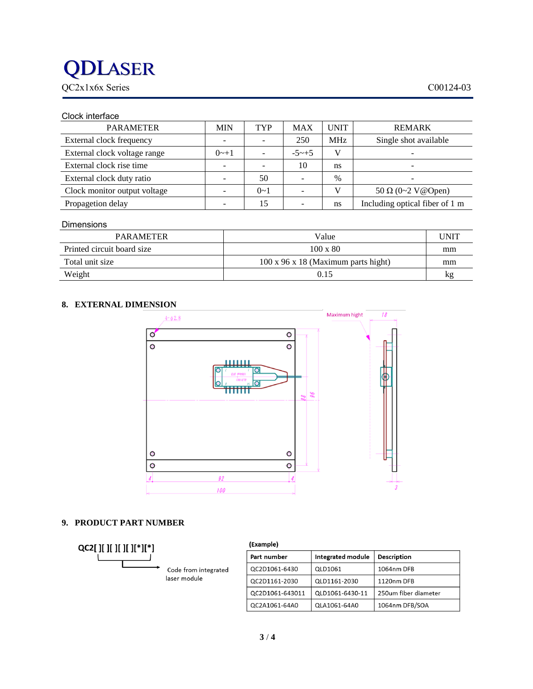### **DLASER**

QC2x1x6x Series C00124-03

| Clock interface              |            |            |            |               |                                |
|------------------------------|------------|------------|------------|---------------|--------------------------------|
| <b>PARAMETER</b>             | <b>MIN</b> | <b>TYP</b> | <b>MAX</b> | <b>UNIT</b>   | <b>REMARK</b>                  |
| External clock frequency     |            |            | 250        | <b>MHz</b>    | Single shot available          |
| External clock voltage range | $0 - 1$    |            | $-5 - +5$  | V             |                                |
| External clock rise time     |            |            | 10         | ns            |                                |
| External clock duty ratio    |            | 50         |            | $\frac{0}{0}$ |                                |
| Clock monitor output voltage |            | $0 - 1$    |            | V             | 50 $\Omega$ (0~2 V@Open)       |
| Propagetion delay            |            | 15         |            | ns            | Including optical fiber of 1 m |
|                              |            |            |            |               |                                |

#### Dimensions

| PARAMETER                  | Value                                           | UNIT |
|----------------------------|-------------------------------------------------|------|
| Printed circuit board size | $100 \times 80$                                 | mm   |
| Total unit size            | $100 \times 96 \times 18$ (Maximum parts hight) | mm   |
| Weight                     | 0.15                                            | kg   |

### **8. EXTERNAL DIMENSION**



#### **9. PRODUCT PART NUMBER**



| (Example)       |                   |                      |
|-----------------|-------------------|----------------------|
| Part number     | Integrated module | <b>Description</b>   |
| QC2D1061-6430   | QLD1061           | 1064nm DFB           |
| QC2D1161-2030   | QLD1161-2030      | 1120nm DFB           |
| QC2D1061-643011 | QLD1061-6430-11   | 250um fiber diameter |
| QC2A1061-64A0   | QLA1061-64A0      | 1064nm DFB/SOA       |